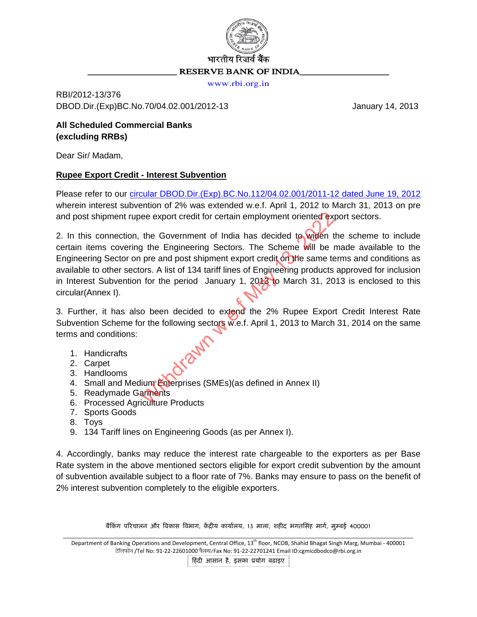

[www.rbi.org.in](http://www.rbi.org.in/)

RBI/2012-13/376 DBOD.Dir.(Exp)BC.No.70/04.02.001/2012-13 January 14, 2013

# **All Scheduled Commercial Banks (excluding RRBs)**

Dear Sir/ Madam,

#### **Rupee Export Credit - Interest Subvention**

Please refer to our [circular DBOD.Dir.\(Exp\).BC.No.112/04.02.001/2011-12 dated June 19, 2012](http://rbi.org.in/scripts/NotificationUser.aspx?Id=7283&Mode=0) wherein interest subvention of 2% was extended w.e.f. April 1, 2012 to March 31, 2013 on pre and post shipment rupee export credit for certain employment oriented export sectors.

2. In this connection, the Government of India has decided to widen the scheme to include certain items covering the Engineering Sectors. The Scheme will be made available to the Engineering Sector on pre and post shipment export credit on the same terms and conditions as available to other sectors. A list of 134 tariff lines of Engineering products approved for inclusion in Interest Subvention for the period January 1,  $2043$  to March 31, 2013 is enclosed to this circular(Annex I). ee export credit for certain employment oriented ex<br>the Government of India has decided to widen t<br>g the Engineering Sectors. The Scheme will be i<br>pre and post shipment export credit on the same te<br>ors. A list of 134 tarif

3. Further, it has also been decided to extend the 2% Rupee Export Credit Interest Rate Subvention Scheme for the following sectors w.e.f. April 1, 2013 to March 31, 2014 on the same terms and conditions:

- 1. Handicrafts
- 2. Carpet
- 3. Handlooms
- 4. Small and Medium Enterprises (SMEs)(as defined in Annex II)
- 5. Readymade Garments
- 6. Processed Agriculture Products
- 7. Sports Goods
- 8. Toys
- 9. 134 Tariff lines on Engineering Goods (as per Annex I).

4. Accordingly, banks may reduce the interest rate chargeable to the exporters as per Base Rate system in the above mentioned sectors eligible for export credit subvention by the amount of subvention available subject to a floor rate of 7%. Banks may ensure to pass on the benefit of 2% interest subvention completely to the eligible exporters.

बैंकिंग परिचालन और विकास विभाग, केंद्रीय कार्यालय, 13 माला, शहीद भगतसिंह मार्ग, मुम्बई 400001

\_\_\_\_\_\_\_\_\_\_\_\_\_\_\_\_\_\_\_\_\_\_\_\_\_\_\_\_\_\_\_\_\_\_\_\_\_\_\_\_\_\_\_\_\_\_\_\_\_\_\_\_\_\_\_\_\_\_\_\_\_\_\_\_\_\_\_\_\_\_\_\_\_\_\_\_\_\_\_\_\_\_\_\_\_\_\_\_\_\_\_\_\_\_\_\_\_\_\_\_\_\_\_\_\_\_\_\_\_\_\_\_\_ Department of Banking Operations and Development, Central Office, 13<sup>th</sup> floor, NCOB, Shahid Bhagat Singh Marg, Mumbai - 400001 टेलिफोन /Tel No: 91-22-22601000 फैक्स/Fax No: 91-22-22701241 Email ID:cgmicdbodco@rbi.org.in

हिंदी आसान है, इसका प्रयोग बढ़ाइए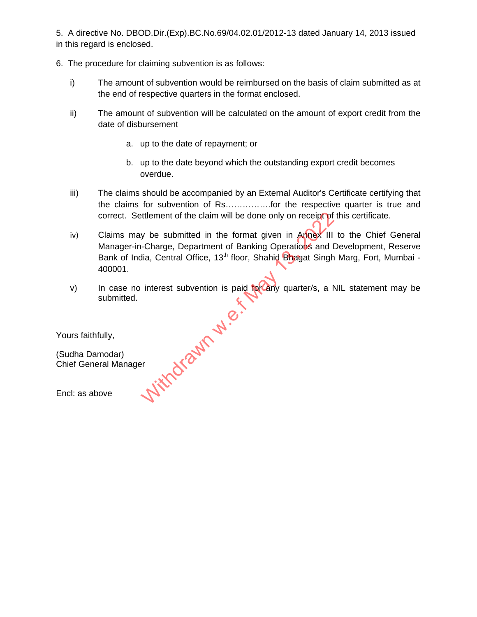5. A directive No. DBOD.Dir.(Exp).BC.No.69/04.02.01/2012-13 dated January 14, 2013 issued in this regard is enclosed.

- 6. The procedure for claiming subvention is as follows:
	- i) The amount of subvention would be reimbursed on the basis of claim submitted as at the end of respective quarters in the format enclosed.
	- ii) The amount of subvention will be calculated on the amount of export credit from the date of disbursement
		- a. up to the date of repayment; or
		- b. up to the date beyond which the outstanding export credit becomes overdue.
	- iii) The claims should be accompanied by an External Auditor's Certificate certifying that the claims for subvention of Rs…………….for the respective quarter is true and correct. Settlement of the claim will be done only on receipt of this certificate.
	- iv) Claims may be submitted in the format given in Annex III to the Chief General Manager-in-Charge, Department of Banking Operations and Development, Reserve Bank of India, Central Office, 13<sup>th</sup> floor, Shahid Bhagat Singh Marg, Fort, Mumbai -400001.
	- v) In case no interest subvention is paid for any quarter/s, a NIL statement may be submitted. **Withdrawn w.e.**

Yours faithfully,

(Sudha Damodar) Chief General Manager

Encl: as above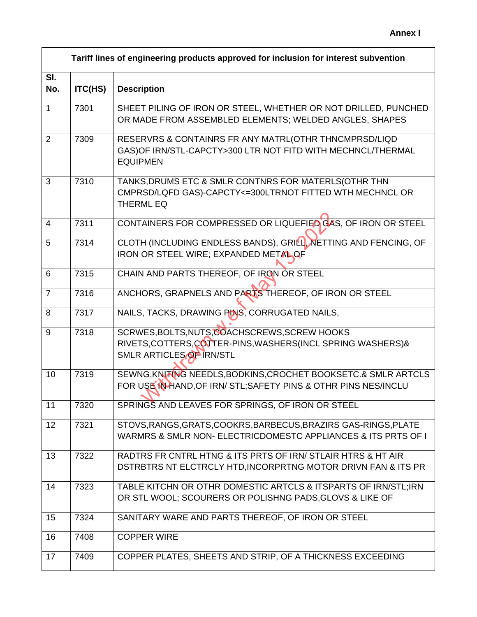|                | Tariff lines of engineering products approved for inclusion for interest subvention |                                                                                                                                          |  |
|----------------|-------------------------------------------------------------------------------------|------------------------------------------------------------------------------------------------------------------------------------------|--|
| SI.<br>No.     | ITC(HS)                                                                             | <b>Description</b>                                                                                                                       |  |
| $\mathbf{1}$   | 7301                                                                                | SHEET PILING OF IRON OR STEEL, WHETHER OR NOT DRILLED, PUNCHED<br>OR MADE FROM ASSEMBLED ELEMENTS; WELDED ANGLES, SHAPES                 |  |
| 2              | 7309                                                                                | RESERVRS & CONTAINRS FR ANY MATRL(OTHR THNCMPRSD/LIQD<br>GAS) OF IRN/STL-CAPCTY>300 LTR NOT FITD WITH MECHNCL/THERMAL<br><b>EQUIPMEN</b> |  |
| 3              | 7310                                                                                | TANKS, DRUMS ETC & SMLR CONTNRS FOR MATERLS (OTHR THN<br>CMPRSD/LQFD GAS)-CAPCTY<=300LTRNOT FITTED WTH MECHNCL OR<br><b>THERML EQ</b>    |  |
| $\overline{4}$ | 7311                                                                                | CONTAINERS FOR COMPRESSED OR LIQUEFIED GAS, OF IRON OR STEEL                                                                             |  |
| 5              | 7314                                                                                | CLOTH (INCLUDING ENDLESS BANDS), GRILL, NETTING AND FENCING, OF<br>IRON OR STEEL WIRE; EXPANDED METAL OF                                 |  |
| 6              | 7315                                                                                | CHAIN AND PARTS THEREOF, OF IRON OR STEEL                                                                                                |  |
| $\overline{7}$ | 7316                                                                                | ANCHORS, GRAPNELS AND PARTS THEREOF, OF IRON OR STEEL                                                                                    |  |
| 8              | 7317                                                                                | NAILS, TACKS, DRAWING PINS, CORRUGATED NAILS,                                                                                            |  |
| 9              | 7318                                                                                | SCRWES, BOLTS, NUTS, COACHSCREWS, SCREW HOOKS<br>RIVETS.COTTERS,COTTER-PINS, WASHERS (INCL SPRING WASHERS) &<br>SMLR ARTICLES OF IRN/STL |  |
| 10             | 7319                                                                                | SEWNG, KNITING NEEDLS, BODKINS, CROCHET BOOKSETC.& SMLR ARTCLS<br>FOR USE IN HAND, OF IRN/ STL; SAFETY PINS & OTHR PINS NES/INCLU        |  |
| 11             | 7320                                                                                | SPRINGS AND LEAVES FOR SPRINGS, OF IRON OR STEEL                                                                                         |  |
| 12             | 7321                                                                                | STOVS, RANGS, GRATS, COOKRS, BARBECUS, BRAZIRS GAS-RINGS, PLATE<br>WARMRS & SMLR NON- ELECTRICDOMESTC APPLIANCES & ITS PRTS OF I         |  |
| 13             | 7322                                                                                | RADTRS FR CNTRL HTNG & ITS PRTS OF IRN/ STLAIR HTRS & HT AIR<br>DSTRBTRS NT ELCTRCLY HTD, INCORPRTNG MOTOR DRIVN FAN & ITS PR            |  |
| 14             | 7323                                                                                | TABLE KITCHN OR OTHR DOMESTIC ARTCLS & ITSPARTS OF IRN/STL;IRN<br>OR STL WOOL; SCOURERS OR POLISHNG PADS, GLOVS & LIKE OF                |  |
| 15             | 7324                                                                                | SANITARY WARE AND PARTS THEREOF, OF IRON OR STEEL                                                                                        |  |
| 16             | 7408                                                                                | <b>COPPER WIRE</b>                                                                                                                       |  |
| 17             | 7409                                                                                | COPPER PLATES, SHEETS AND STRIP, OF A THICKNESS EXCEEDING                                                                                |  |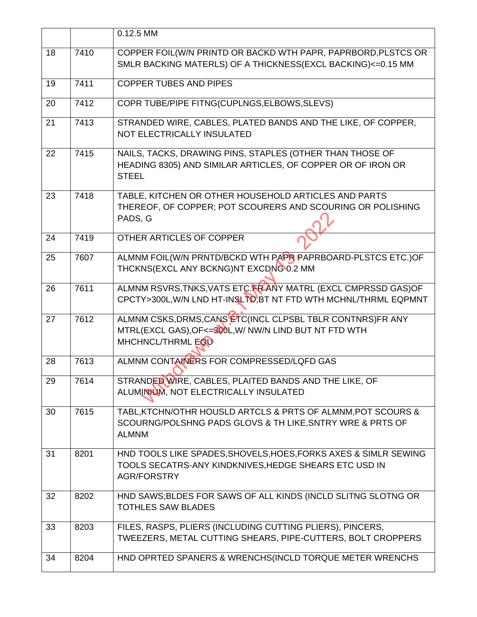|    |      | 0.12.5 MM                                                                                                                                      |  |  |  |
|----|------|------------------------------------------------------------------------------------------------------------------------------------------------|--|--|--|
| 18 | 7410 | COPPER FOIL(W/N PRINTD OR BACKD WTH PAPR, PAPRBORD, PLSTCS OR<br>SMLR BACKING MATERLS) OF A THICKNESS(EXCL BACKING)<=0.15 MM                   |  |  |  |
| 19 | 7411 | <b>COPPER TUBES AND PIPES</b>                                                                                                                  |  |  |  |
| 20 | 7412 | COPR TUBE/PIPE FITNG(CUPLNGS, ELBOWS, SLEVS)                                                                                                   |  |  |  |
| 21 | 7413 | STRANDED WIRE, CABLES, PLATED BANDS AND THE LIKE, OF COPPER,<br>NOT ELECTRICALLY INSULATED                                                     |  |  |  |
| 22 | 7415 | NAILS, TACKS, DRAWING PINS, STAPLES (OTHER THAN THOSE OF<br>HEADING 8305) AND SIMILAR ARTICLES, OF COPPER OR OF IRON OR<br><b>STEEL</b>        |  |  |  |
| 23 | 7418 | TABLE, KITCHEN OR OTHER HOUSEHOLD ARTICLES AND PARTS<br>THEREOF, OF COPPER; POT SCOURERS AND SCOURING OR POLISHING<br>PADS, G                  |  |  |  |
| 24 | 7419 | OTHER ARTICLES OF COPPER                                                                                                                       |  |  |  |
| 25 | 7607 | ALMNM FOIL(W/N PRNTD/BCKD WTH PAPR PAPRBOARD-PLSTCS ETC.)OF<br>THCKNS(EXCL ANY BCKNG)NT EXCDNG 0.2 MM                                          |  |  |  |
| 26 | 7611 | ALMNM RSVRS, TNKS, VATS ETC. FRANY MATRL (EXCL CMPRSSD GAS) OF<br>CPCTY>300L, W/N LND HT-INSLTD, BT NT FTD WTH MCHNL/THRML EQPMNT              |  |  |  |
| 27 | 7612 | ALMNM CSKS, DRMS, CANS ETC(INCL CLPSBL TBLR CONTNRS) FR ANY<br>MTRL(EXCL GAS), OF<=300L, W/ NW/N LIND BUT NT FTD WTH<br>MHCHNCL/THRML EQU      |  |  |  |
| 28 | 7613 | ALMNM CONTAINERS FOR COMPRESSED/LQFD GAS                                                                                                       |  |  |  |
| 29 | 7614 | STRANDED WIRE, CABLES, PLAITED BANDS AND THE LIKE, OF<br>ALUMINIUM, NOT ELECTRICALLY INSULATED                                                 |  |  |  |
| 30 | 7615 | TABL, KTCHN/OTHR HOUSLD ARTCLS & PRTS OF ALMNM, POT SCOURS &<br>SCOURNG/POLSHNG PADS GLOVS & TH LIKE, SNTRY WRE & PRTS OF<br><b>ALMNM</b>      |  |  |  |
| 31 | 8201 | HND TOOLS LIKE SPADES, SHOVELS, HOES, FORKS AXES & SIMLR SEWING<br>TOOLS SECATRS-ANY KINDKNIVES, HEDGE SHEARS ETC USD IN<br><b>AGR/FORSTRY</b> |  |  |  |
| 32 | 8202 | HND SAWS; BLDES FOR SAWS OF ALL KINDS (INCLD SLITNG SLOTNG OR<br><b>TOTHLES SAW BLADES</b>                                                     |  |  |  |
| 33 | 8203 | FILES, RASPS, PLIERS (INCLUDING CUTTING PLIERS), PINCERS,<br>TWEEZERS, METAL CUTTING SHEARS, PIPE-CUTTERS, BOLT CROPPERS                       |  |  |  |
| 34 | 8204 | HND OPRTED SPANERS & WRENCHS(INCLD TORQUE METER WRENCHS                                                                                        |  |  |  |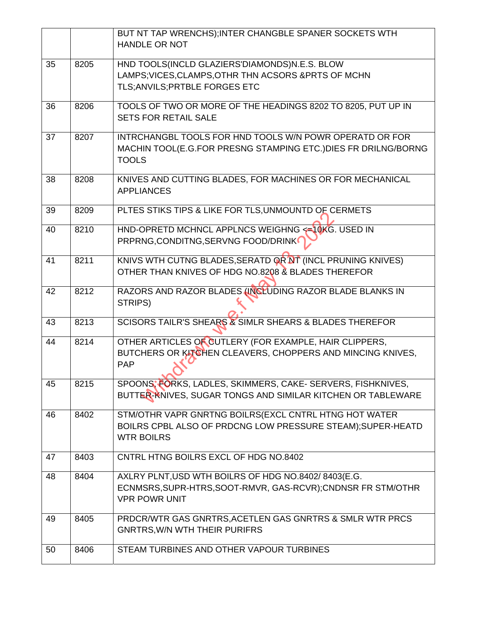|    |      | BUT NT TAP WRENCHS); INTER CHANGBLE SPANER SOCKETS WTH<br><b>HANDLE OR NOT</b>                                                              |  |  |  |
|----|------|---------------------------------------------------------------------------------------------------------------------------------------------|--|--|--|
| 35 | 8205 | HND TOOLS(INCLD GLAZIERS'DIAMONDS)N.E.S. BLOW<br>LAMPS; VICES, CLAMPS, OTHR THN ACSORS & PRTS OF MCHN<br>TLS; ANVILS; PRTBLE FORGES ETC     |  |  |  |
| 36 | 8206 | TOOLS OF TWO OR MORE OF THE HEADINGS 8202 TO 8205, PUT UP IN<br><b>SETS FOR RETAIL SALE</b>                                                 |  |  |  |
| 37 | 8207 | INTRCHANGBL TOOLS FOR HND TOOLS W/N POWR OPERATD OR FOR<br>MACHIN TOOL(E.G.FOR PRESNG STAMPING ETC.) DIES FR DRILNG/BORNG<br><b>TOOLS</b>   |  |  |  |
| 38 | 8208 | KNIVES AND CUTTING BLADES, FOR MACHINES OR FOR MECHANICAL<br><b>APPLIANCES</b>                                                              |  |  |  |
| 39 | 8209 | PLTES STIKS TIPS & LIKE FOR TLS, UNMOUNTD OF CERMETS                                                                                        |  |  |  |
| 40 | 8210 | HND-OPRETD MCHNCL APPLNCS WEIGHNG < <a>&gt;<a< a="">10KG. USED IN<br/>PRPRNG, CONDITNG, SERVNG FOOD/DRINK</a<></a>                          |  |  |  |
| 41 | 8211 | KNIVS WTH CUTNG BLADES, SERATD OR NT (INCL PRUNING KNIVES)<br>OTHER THAN KNIVES OF HDG NO.8208 & BLADES THEREFOR                            |  |  |  |
| 42 | 8212 | RAZORS AND RAZOR BLADES (INCLUDING RAZOR BLADE BLANKS IN<br>STRIPS)                                                                         |  |  |  |
| 43 | 8213 | SCISORS TAILR'S SHEARS & SIMLR SHEARS & BLADES THEREFOR                                                                                     |  |  |  |
| 44 | 8214 | OTHER ARTICLES OF CUTLERY (FOR EXAMPLE, HAIR CLIPPERS,<br>BUTCHERS OR KITCHEN CLEAVERS, CHOPPERS AND MINCING KNIVES,<br><b>PAP</b>          |  |  |  |
| 45 | 8215 | SPOONS, FORKS, LADLES, SKIMMERS, CAKE- SERVERS, FISHKNIVES,<br>BUTTER-KNIVES, SUGAR TONGS AND SIMILAR KITCHEN OR TABLEWARE                  |  |  |  |
| 46 | 8402 | STM/OTHR VAPR GNRTNG BOILRS(EXCL CNTRL HTNG HOT WATER<br>BOILRS CPBL ALSO OF PRDCNG LOW PRESSURE STEAM); SUPER-HEATD<br><b>WTR BOILRS</b>   |  |  |  |
| 47 | 8403 | CNTRL HTNG BOILRS EXCL OF HDG NO.8402                                                                                                       |  |  |  |
| 48 | 8404 | AXLRY PLNT, USD WTH BOILRS OF HDG NO.8402/8403(E.G.<br>ECNMSRS, SUPR-HTRS, SOOT-RMVR, GAS-RCVR); CNDNSR FR STM/OTHR<br><b>VPR POWR UNIT</b> |  |  |  |
| 49 | 8405 | PRDCR/WTR GAS GNRTRS, ACETLEN GAS GNRTRS & SMLR WTR PRCS<br><b>GNRTRS, W/N WTH THEIR PURIFRS</b>                                            |  |  |  |
| 50 | 8406 | STEAM TURBINES AND OTHER VAPOUR TURBINES                                                                                                    |  |  |  |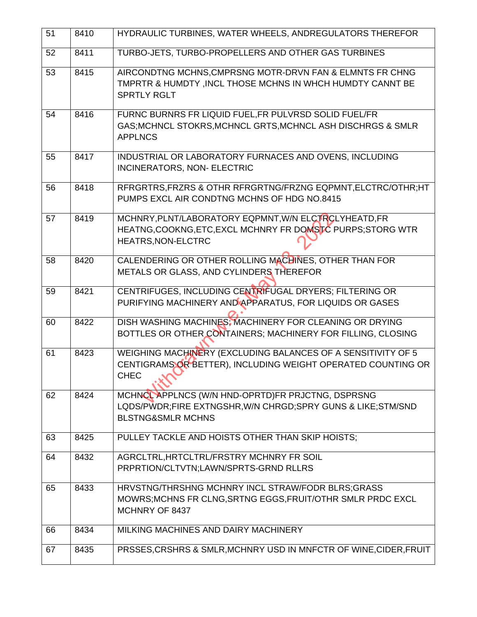| 51 | 8410 | HYDRAULIC TURBINES, WATER WHEELS, ANDREGULATORS THEREFOR                                                                                        |  |  |  |
|----|------|-------------------------------------------------------------------------------------------------------------------------------------------------|--|--|--|
| 52 | 8411 | TURBO-JETS, TURBO-PROPELLERS AND OTHER GAS TURBINES                                                                                             |  |  |  |
| 53 | 8415 | AIRCONDTNG MCHNS, CMPRSNG MOTR-DRVN FAN & ELMNTS FR CHNG<br>TMPRTR & HUMDTY, INCL THOSE MCHNS IN WHCH HUMDTY CANNT BE<br><b>SPRTLY RGLT</b>     |  |  |  |
| 54 | 8416 | FURNC BURNRS FR LIQUID FUEL, FR PULVRSD SOLID FUEL/FR<br>GAS; MCHNCL STOKRS, MCHNCL GRTS, MCHNCL ASH DISCHRGS & SMLR<br><b>APPLNCS</b>          |  |  |  |
| 55 | 8417 | INDUSTRIAL OR LABORATORY FURNACES AND OVENS, INCLUDING<br>INCINERATORS, NON- ELECTRIC                                                           |  |  |  |
| 56 | 8418 | RFRGRTRS, FRZRS & OTHR RFRGRTNG/FRZNG EQPMNT, ELCTRC/OTHR; HT<br>PUMPS EXCL AIR CONDTNG MCHNS OF HDG NO.8415                                    |  |  |  |
| 57 | 8419 | MCHNRY, PLNT/LABORATORY EQPMNT, W/N ELCTRCLYHEATD, FR<br>HEATNG, COOKNG, ETC, EXCL MCHNRY FR DOMSTC PURPS; STORG WTR<br>HEATRS, NON-ELCTRC      |  |  |  |
| 58 | 8420 | CALENDERING OR OTHER ROLLING MACHINES, OTHER THAN FOR<br>METALS OR GLASS, AND CYLINDERS THEREFOR                                                |  |  |  |
| 59 | 8421 | CENTRIFUGES, INCLUDING CENTRIFUGAL DRYERS; FILTERING OR<br>PURIFYING MACHINERY AND APPARATUS, FOR LIQUIDS OR GASES                              |  |  |  |
| 60 | 8422 | DISH WASHING MACHINES; MACHINERY FOR CLEANING OR DRYING<br>BOTTLES OR OTHER CONTAINERS; MACHINERY FOR FILLING, CLOSING                          |  |  |  |
| 61 | 8423 | WEIGHING MACHINERY (EXCLUDING BALANCES OF A SENSITIVITY OF 5<br>CENTIGRAMS OR BETTER), INCLUDING WEIGHT OPERATED COUNTING OR<br><b>CHEC</b>     |  |  |  |
| 62 | 8424 | MCHNCL APPLNCS (W/N HND-OPRTD)FR PRJCTNG, DSPRSNG<br>LQDS/PWDR;FIRE EXTNGSHR,W/N CHRGD;SPRY GUNS & LIKE;STM/SND<br><b>BLSTNG&amp;SMLR MCHNS</b> |  |  |  |
| 63 | 8425 | PULLEY TACKLE AND HOISTS OTHER THAN SKIP HOISTS;                                                                                                |  |  |  |
| 64 | 8432 | AGRCLTRL, HRTCLTRL/FRSTRY MCHNRY FR SOIL<br>PRPRTION/CLTVTN:LAWN/SPRTS-GRND RLLRS                                                               |  |  |  |
| 65 | 8433 | HRVSTNG/THRSHNG MCHNRY INCL STRAW/FODR BLRS; GRASS<br>MOWRS; MCHNS FR CLNG, SRTNG EGGS, FRUIT/OTHR SMLR PRDC EXCL<br>MCHNRY OF 8437             |  |  |  |
| 66 | 8434 | MILKING MACHINES AND DAIRY MACHINERY                                                                                                            |  |  |  |
| 67 | 8435 | PRSSES, CRSHRS & SMLR, MCHNRY USD IN MNFCTR OF WINE, CIDER, FRUIT                                                                               |  |  |  |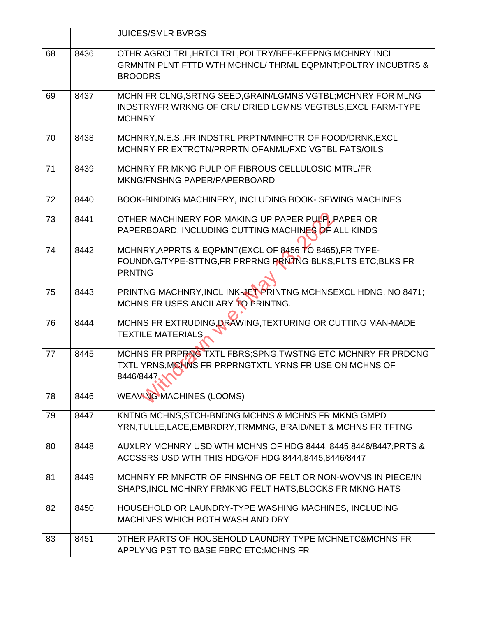|    |      | <b>JUICES/SMLR BVRGS</b>                                                                                                                            |  |  |  |
|----|------|-----------------------------------------------------------------------------------------------------------------------------------------------------|--|--|--|
| 68 | 8436 | OTHR AGRCLTRL, HRTCLTRL, POLTRY/BEE-KEEPNG MCHNRY INCL<br><b>GRMNTN PLNT FTTD WTH MCHNCL/ THRML EQPMNT; POLTRY INCUBTRS &amp;</b><br><b>BROODRS</b> |  |  |  |
| 69 | 8437 | MCHN FR CLNG, SRTNG SEED, GRAIN/LGMNS VGTBL; MCHNRY FOR MLNG<br>INDSTRY/FR WRKNG OF CRL/ DRIED LGMNS VEGTBLS.EXCL FARM-TYPE<br><b>MCHNRY</b>        |  |  |  |
| 70 | 8438 | MCHNRY, N.E.S., FR INDSTRL PRPTN/MNFCTR OF FOOD/DRNK, EXCL<br>MCHNRY FR EXTRCTN/PRPRTN OFANML/FXD VGTBL FATS/OILS                                   |  |  |  |
| 71 | 8439 | MCHNRY FR MKNG PULP OF FIBROUS CELLULOSIC MTRL/FR<br>MKNG/FNSHNG PAPER/PAPERBOARD                                                                   |  |  |  |
| 72 | 8440 | BOOK-BINDING MACHINERY, INCLUDING BOOK- SEWING MACHINES                                                                                             |  |  |  |
| 73 | 8441 | OTHER MACHINERY FOR MAKING UP PAPER PULP, PAPER OR<br>PAPERBOARD, INCLUDING CUTTING MACHINES OF ALL KINDS                                           |  |  |  |
| 74 | 8442 | MCHNRY, APPRTS & EQPMNT(EXCL OF 8456 TO 8465), FR TYPE-<br>FOUNDNG/TYPE-STTNG, FR PRPRNG PRNTNG BLKS, PLTS ETC; BLKS FR<br><b>PRNTNG</b>            |  |  |  |
| 75 | 8443 | PRINTNG MACHNRY, INCL INK-JET PRINTNG MCHNSEXCL HDNG. NO 8471;<br>MCHNS FR USES ANCILARY TO PRINTNG.                                                |  |  |  |
| 76 | 8444 | MCHNS FR EXTRUDING, DRAWING, TEXTURING OR CUTTING MAN-MADE<br><b>TEXTILE MATERIALS</b>                                                              |  |  |  |
| 77 | 8445 | MCHNS FR PRPRNG TXTL FBRS; SPNG, TWSTNG ETC MCHNRY FR PRDCNG<br>TXTL YRNS:MCHNS FR PRPRNGTXTL YRNS FR USE ON MCHNS OF<br>8446/8447                  |  |  |  |
| 78 | 8446 | <b>WEAVING MACHINES (LOOMS)</b>                                                                                                                     |  |  |  |
| 79 | 8447 | KNTNG MCHNS, STCH-BNDNG MCHNS & MCHNS FR MKNG GMPD<br>YRN, TULLE, LACE, EMBRDRY, TRMMNG, BRAID/NET & MCHNS FR TFTNG                                 |  |  |  |
| 80 | 8448 | AUXLRY MCHNRY USD WTH MCHNS OF HDG 8444, 8445, 8446/8447; PRTS &<br>ACCSSRS USD WTH THIS HDG/OF HDG 8444,8445,8446/8447                             |  |  |  |
| 81 | 8449 | MCHNRY FR MNFCTR OF FINSHNG OF FELT OR NON-WOVNS IN PIECE/IN<br>SHAPS, INCL MCHNRY FRMKNG FELT HATS, BLOCKS FR MKNG HATS                            |  |  |  |
| 82 | 8450 | HOUSEHOLD OR LAUNDRY-TYPE WASHING MACHINES, INCLUDING<br>MACHINES WHICH BOTH WASH AND DRY                                                           |  |  |  |
| 83 | 8451 | OTHER PARTS OF HOUSEHOLD LAUNDRY TYPE MCHNETC&MCHNS FR<br>APPLYNG PST TO BASE FBRC ETC; MCHNS FR                                                    |  |  |  |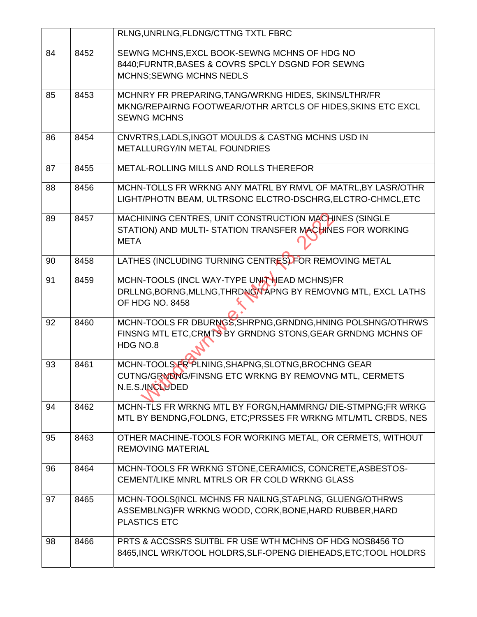|    |      | RLNG, UNRLNG, FLDNG/CTTNG TXTL FBRC                                                                                                       |  |  |  |
|----|------|-------------------------------------------------------------------------------------------------------------------------------------------|--|--|--|
| 84 | 8452 | SEWNG MCHNS, EXCL BOOK-SEWNG MCHNS OF HDG NO<br>8440; FURNTR, BASES & COVRS SPCLY DSGND FOR SEWNG<br><b>MCHNS;SEWNG MCHNS NEDLS</b>       |  |  |  |
| 85 | 8453 | MCHNRY FR PREPARING, TANG/WRKNG HIDES, SKINS/LTHR/FR<br>MKNG/REPAIRNG FOOTWEAR/OTHR ARTCLS OF HIDES, SKINS ETC EXCL<br><b>SEWNG MCHNS</b> |  |  |  |
| 86 | 8454 | CNVRTRS, LADLS, INGOT MOULDS & CASTNG MCHNS USD IN<br><b>METALLURGY/IN METAL FOUNDRIES</b>                                                |  |  |  |
| 87 | 8455 | METAL-ROLLING MILLS AND ROLLS THEREFOR                                                                                                    |  |  |  |
| 88 | 8456 | MCHN-TOLLS FR WRKNG ANY MATRL BY RMVL OF MATRL, BY LASR/OTHR<br>LIGHT/PHOTN BEAM, ULTRSONC ELCTRO-DSCHRG, ELCTRO-CHMCL, ETC               |  |  |  |
| 89 | 8457 | MACHINING CENTRES, UNIT CONSTRUCTION MACHINES (SINGLE<br>STATION) AND MULTI- STATION TRANSFER MACHINES FOR WORKING<br><b>META</b>         |  |  |  |
| 90 | 8458 | LATHES (INCLUDING TURNING CENTRES) FOR REMOVING METAL                                                                                     |  |  |  |
| 91 | 8459 | MCHN-TOOLS (INCL WAY-TYPE UNIT HEAD MCHNS)FR<br>DRLLNG, BORNG, MLLNG, THRDNG/TAPNG BY REMOVNG MTL, EXCL LATHS<br>OF HDG NO. 8458          |  |  |  |
| 92 | 8460 | MCHN-TOOLS FR DBURNGS, SHRPNG, GRNDNG, HNING POLSHNG/OTHRWS<br>FINSNG MTL ETC, CRMTS BY GRNDNG STONS, GEAR GRNDNG MCHNS OF<br>HDG NO.8    |  |  |  |
| 93 | 8461 | MCHN-TOOLS FR PLNING, SHAPNG, SLOTNG, BROCHNG GEAR<br>CUTNG/GRNDNG/FINSNG ETC WRKNG BY REMOVNG MTL, CERMETS<br>N.E.S./INCLUDED            |  |  |  |
| 94 | 8462 | MCHN-TLS FR WRKNG MTL BY FORGN, HAMMRNG/ DIE-STMPNG; FR WRKG<br>MTL BY BENDNG, FOLDNG, ETC; PRSSES FR WRKNG MTL/MTL CRBDS, NES            |  |  |  |
| 95 | 8463 | OTHER MACHINE-TOOLS FOR WORKING METAL, OR CERMETS, WITHOUT<br><b>REMOVING MATERIAL</b>                                                    |  |  |  |
| 96 | 8464 | MCHN-TOOLS FR WRKNG STONE, CERAMICS, CONCRETE, ASBESTOS-<br>CEMENT/LIKE MNRL MTRLS OR FR COLD WRKNG GLASS                                 |  |  |  |
| 97 | 8465 | MCHN-TOOLS(INCL MCHNS FR NAILNG, STAPLNG, GLUENG/OTHRWS<br>ASSEMBLNG)FR WRKNG WOOD, CORK, BONE, HARD RUBBER, HARD<br><b>PLASTICS ETC</b>  |  |  |  |
| 98 | 8466 | PRTS & ACCSSRS SUITBL FR USE WTH MCHNS OF HDG NOS8456 TO<br>8465, INCL WRK/TOOL HOLDRS, SLF-OPENG DIEHEADS, ETC; TOOL HOLDRS              |  |  |  |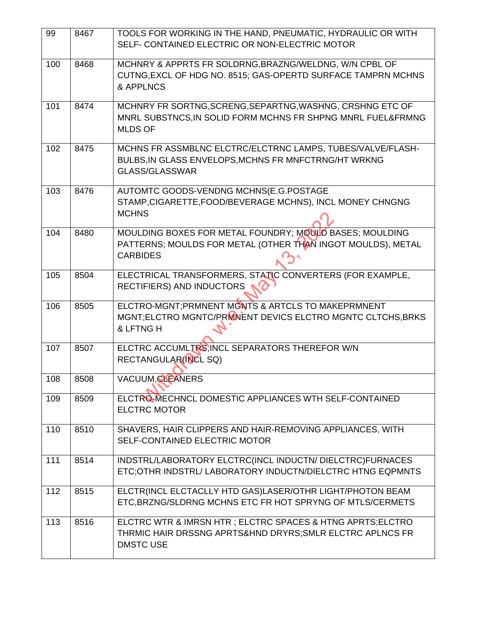| 99  | 8467                                                        | TOOLS FOR WORKING IN THE HAND, PNEUMATIC, HYDRAULIC OR WITH                                                             |  |  |  |
|-----|-------------------------------------------------------------|-------------------------------------------------------------------------------------------------------------------------|--|--|--|
|     |                                                             | SELF- CONTAINED ELECTRIC OR NON-ELECTRIC MOTOR                                                                          |  |  |  |
| 100 | 8468                                                        | MCHNRY & APPRTS FR SOLDRNG, BRAZNG/WELDNG, W/N CPBL OF                                                                  |  |  |  |
|     |                                                             | CUTNG, EXCL OF HDG NO. 8515; GAS-OPERTD SURFACE TAMPRN MCHNS                                                            |  |  |  |
|     |                                                             | & APPLNCS                                                                                                               |  |  |  |
| 101 | 8474                                                        | MCHNRY FR SORTNG, SCRENG, SEPARTNG, WASHNG, CRSHNG ETC OF                                                               |  |  |  |
|     | MNRL SUBSTNCS, IN SOLID FORM MCHNS FR SHPNG MNRL FUEL&FRMNG |                                                                                                                         |  |  |  |
|     |                                                             | <b>MLDS OF</b>                                                                                                          |  |  |  |
| 102 | 8475                                                        | MCHNS FR ASSMBLNC ELCTRC/ELCTRNC LAMPS, TUBES/VALVE/FLASH-                                                              |  |  |  |
|     |                                                             | BULBS, IN GLASS ENVELOPS, MCHNS FR MNFCTRNG/HT WRKNG                                                                    |  |  |  |
|     |                                                             | <b>GLASS/GLASSWAR</b>                                                                                                   |  |  |  |
| 103 | 8476                                                        | AUTOMTC GOODS-VENDNG MCHNS(E.G.POSTAGE                                                                                  |  |  |  |
|     |                                                             | STAMP, CIGARETTE, FOOD/BEVERAGE MCHNS), INCL MONEY CHNGNG                                                               |  |  |  |
|     |                                                             | <b>MCHNS</b>                                                                                                            |  |  |  |
| 104 | 8480                                                        | MOULDING BOXES FOR METAL FOUNDRY; MOULD BASES; MOULDING                                                                 |  |  |  |
|     | PATTERNS; MOULDS FOR METAL (OTHER THAN INGOT MOULDS), METAL |                                                                                                                         |  |  |  |
|     |                                                             | <b>CARBIDES</b>                                                                                                         |  |  |  |
| 105 | 8504                                                        | ELECTRICAL TRANSFORMERS, STATIC CONVERTERS (FOR EXAMPLE,                                                                |  |  |  |
|     |                                                             | RECTIFIERS) AND INDUCTORS                                                                                               |  |  |  |
| 106 | 8505                                                        | ELCTRO-MGNT; PRMNENT MGNTS & ARTCLS TO MAKEPRMNENT                                                                      |  |  |  |
|     |                                                             | MGNT;ELCTRO MGNTC/PRMNENT DEVICS ELCTRO MGNTC CLTCHS, BRKS                                                              |  |  |  |
|     |                                                             | & LFTNG H                                                                                                               |  |  |  |
| 107 | 8507                                                        | ELCTRC ACCUMLTRS, INCL SEPARATORS THEREFOR W/N                                                                          |  |  |  |
|     |                                                             | RECTANGULAR(INCL SQ)                                                                                                    |  |  |  |
| 108 | 8508                                                        | <b>VACUUM CLEANERS</b>                                                                                                  |  |  |  |
| 109 | 8509                                                        | ELCTRO-MECHNCL DOMESTIC APPLIANCES WTH SELF-CONTAINED                                                                   |  |  |  |
|     |                                                             | <b>ELCTRC MOTOR</b>                                                                                                     |  |  |  |
| 110 | 8510                                                        | SHAVERS, HAIR CLIPPERS AND HAIR-REMOVING APPLIANCES, WITH                                                               |  |  |  |
|     | SELF-CONTAINED ELECTRIC MOTOR                               |                                                                                                                         |  |  |  |
|     |                                                             |                                                                                                                         |  |  |  |
| 111 | 8514                                                        | INDSTRL/LABORATORY ELCTRC(INCL INDUCTN/ DIELCTRC)FURNACES<br>ETC;OTHR INDSTRL/ LABORATORY INDUCTN/DIELCTRC HTNG EQPMNTS |  |  |  |
|     |                                                             |                                                                                                                         |  |  |  |
| 112 | 8515                                                        | ELCTR(INCL ELCTACLLY HTD GAS)LASER/OTHR LIGHT/PHOTON BEAM                                                               |  |  |  |
|     |                                                             | ETC, BRZNG/SLDRNG MCHNS ETC FR HOT SPRYNG OF MTLS/CERMETS                                                               |  |  |  |
| 113 | 8516                                                        | ELCTRC WTR & IMRSN HTR ; ELCTRC SPACES & HTNG APRTS; ELCTRO                                                             |  |  |  |
|     |                                                             | THRMIC HAIR DRSSNG APRTS&HND DRYRS; SMLR ELCTRC APLNCS FR                                                               |  |  |  |
|     |                                                             | <b>DMSTC USE</b>                                                                                                        |  |  |  |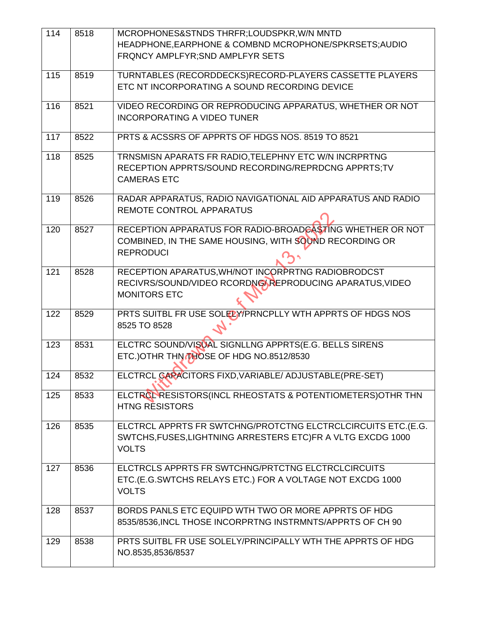| 114 | 8518 | MCROPHONES&STNDS THRFR;LOUDSPKR, W/N MNTD                    |  |  |  |
|-----|------|--------------------------------------------------------------|--|--|--|
|     |      | HEADPHONE, EARPHONE & COMBND MCROPHONE/SPKRSETS; AUDIO       |  |  |  |
|     |      | FRQNCY AMPLFYR; SND AMPLFYR SETS                             |  |  |  |
|     |      |                                                              |  |  |  |
| 115 | 8519 | TURNTABLES (RECORDDECKS)RECORD-PLAYERS CASSETTE PLAYERS      |  |  |  |
|     |      | ETC NT INCORPORATING A SOUND RECORDING DEVICE                |  |  |  |
|     |      |                                                              |  |  |  |
| 116 | 8521 | VIDEO RECORDING OR REPRODUCING APPARATUS, WHETHER OR NOT     |  |  |  |
|     |      | <b>INCORPORATING A VIDEO TUNER</b>                           |  |  |  |
| 117 | 8522 | PRTS & ACSSRS OF APPRTS OF HDGS NOS, 8519 TO 8521            |  |  |  |
|     |      |                                                              |  |  |  |
| 118 | 8525 | TRNSMISN APARATS FR RADIO, TELEPHNY ETC W/N INCRPRTNG        |  |  |  |
|     |      | RECEPTION APPRTS/SOUND RECORDING/REPRDCNG APPRTS;TV          |  |  |  |
|     |      | <b>CAMERAS ETC</b>                                           |  |  |  |
|     |      |                                                              |  |  |  |
| 119 | 8526 | RADAR APPARATUS, RADIO NAVIGATIONAL AID APPARATUS AND RADIO  |  |  |  |
|     |      | <b>REMOTE CONTROL APPARATUS</b>                              |  |  |  |
| 120 | 8527 | RECEPTION APPARATUS FOR RADIO-BROADCASTING WHETHER OR NOT    |  |  |  |
|     |      | COMBINED, IN THE SAME HOUSING, WITH SOUND RECORDING OR       |  |  |  |
|     |      | <b>REPRODUCI</b>                                             |  |  |  |
|     |      |                                                              |  |  |  |
| 121 | 8528 | RECEPTION APARATUS, WH/NOT INCORPRTNG RADIOBRODCST           |  |  |  |
|     |      | RECIVRS/SOUND/VIDEO RCORDNG/ REPRODUCING APARATUS, VIDEO     |  |  |  |
|     |      | <b>MONITORS ETC</b>                                          |  |  |  |
|     |      |                                                              |  |  |  |
| 122 | 8529 | PRTS SUITBL FR USE SOLELY PRNCPLLY WTH APPRTS OF HDGS NOS    |  |  |  |
|     |      | 8525 TO 8528                                                 |  |  |  |
| 123 | 8531 | ELCTRC SOUND/VISUAL SIGNLLNG APPRTS(E.G. BELLS SIRENS        |  |  |  |
|     |      | ETC.) OTHR THN THOSE OF HDG NO.8512/8530                     |  |  |  |
|     |      |                                                              |  |  |  |
| 124 | 8532 | ELCTRCL CARACITORS FIXD, VARIABLE/ ADJUSTABLE(PRE-SET)       |  |  |  |
|     |      |                                                              |  |  |  |
| 125 | 8533 | ELCTROL RESISTORS (INCL RHEOSTATS & POTENTIOMETERS) OTHR THN |  |  |  |
|     |      | <b>HTNG RESISTORS</b>                                        |  |  |  |
|     |      |                                                              |  |  |  |
| 126 | 8535 | ELCTRCL APPRTS FR SWTCHNG/PROTCTNG ELCTRCLCIRCUITS ETC.(E.G. |  |  |  |
|     |      | SWTCHS, FUSES, LIGHTNING ARRESTERS ETC) FR A VLTG EXCDG 1000 |  |  |  |
|     |      | <b>VOLTS</b>                                                 |  |  |  |
| 127 | 8536 | ELCTRCLS APPRTS FR SWTCHNG/PRTCTNG ELCTRCLCIRCUITS           |  |  |  |
|     |      | ETC.(E.G.SWTCHS RELAYS ETC.) FOR A VOLTAGE NOT EXCDG 1000    |  |  |  |
|     |      | <b>VOLTS</b>                                                 |  |  |  |
|     |      |                                                              |  |  |  |
| 128 | 8537 | BORDS PANLS ETC EQUIPD WTH TWO OR MORE APPRTS OF HDG         |  |  |  |
|     |      | 8535/8536, INCL THOSE INCORPRTNG INSTRMNTS/APPRTS OF CH 90   |  |  |  |
|     |      |                                                              |  |  |  |
| 129 | 8538 | PRTS SUITBL FR USE SOLELY/PRINCIPALLY WTH THE APPRTS OF HDG  |  |  |  |
|     |      | NO.8535,8536/8537                                            |  |  |  |
|     |      |                                                              |  |  |  |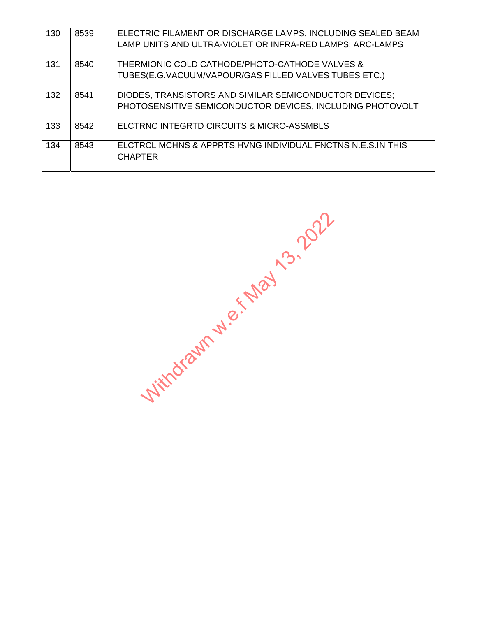| 130 | 8539 | ELECTRIC FILAMENT OR DISCHARGE LAMPS, INCLUDING SEALED BEAM  |  |
|-----|------|--------------------------------------------------------------|--|
|     |      | LAMP UNITS AND ULTRA-VIOLET OR INFRA-RED LAMPS; ARC-LAMPS    |  |
|     |      |                                                              |  |
| 131 | 8540 | THERMIONIC COLD CATHODE/PHOTO-CATHODE VALVES &               |  |
|     |      | TUBES(E.G.VACUUM/VAPOUR/GAS FILLED VALVES TUBES ETC.)        |  |
|     |      |                                                              |  |
| 132 | 8541 | DIODES, TRANSISTORS AND SIMILAR SEMICONDUCTOR DEVICES;       |  |
|     |      | PHOTOSENSITIVE SEMICONDUCTOR DEVICES, INCLUDING PHOTOVOLT    |  |
|     |      |                                                              |  |
| 133 | 8542 | ELCTRNC INTEGRTD CIRCUITS & MICRO-ASSMBLS                    |  |
|     |      |                                                              |  |
| 134 | 8543 | ELCTRCL MCHNS & APPRTS, HVNG INDIVIDUAL FNCTNS N.E.S.IN THIS |  |
|     |      | <b>CHAPTER</b>                                               |  |
|     |      |                                                              |  |

Withdrawn w.e.f May 13, 2022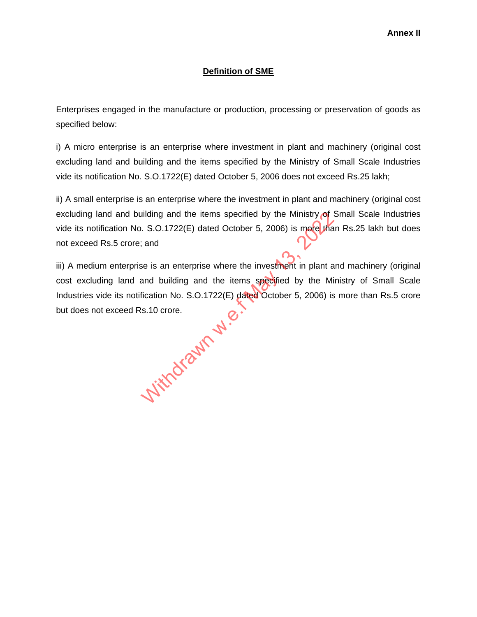## **Definition of SME**

Enterprises engaged in the manufacture or production, processing or preservation of goods as specified below:

i) A micro enterprise is an enterprise where investment in plant and machinery (original cost excluding land and building and the items specified by the Ministry of Small Scale Industries vide its notification No. S.O.1722(E) dated October 5, 2006 does not exceed Rs.25 lakh;

ii) A small enterprise is an enterprise where the investment in plant and machinery (original cost excluding land and building and the items specified by the Ministry of Small Scale Industries vide its notification No. S.O.1722(E) dated October 5, 2006) is more than Rs.25 lakh but does not exceed Rs.5 crore; and

iii) A medium enterprise is an enterprise where the investment in plant and machinery (original cost excluding land and building and the items specified by the Ministry of Small Scale Industries vide its notification No. S.O.1722(E) dated October 5, 2006) is more than Rs.5 crore but does not exceed Rs.10 crore. se is an enterprise where the investment is<br>and building and the items specified by<br>fication No. S.O.1722(E) dated October 5,<br>s.10 crore.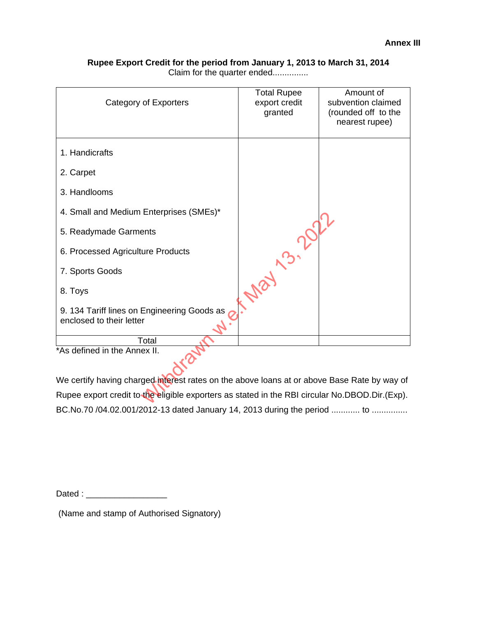#### **Rupee Export Credit for the period from January 1, 2013 to March 31, 2014**  Claim for the quarter ended...............

| Category of Exporters                                                                          | <b>Total Rupee</b><br>export credit<br>granted | Amount of<br>subvention claimed<br>(rounded off to the<br>nearest rupee) |
|------------------------------------------------------------------------------------------------|------------------------------------------------|--------------------------------------------------------------------------|
| 1. Handicrafts                                                                                 |                                                |                                                                          |
| 2. Carpet                                                                                      |                                                |                                                                          |
| 3. Handlooms                                                                                   |                                                |                                                                          |
| 4. Small and Medium Enterprises (SMEs)*                                                        |                                                |                                                                          |
| 5. Readymade Garments                                                                          |                                                |                                                                          |
| 6. Processed Agriculture Products                                                              |                                                |                                                                          |
| 7. Sports Goods                                                                                |                                                |                                                                          |
| 8. Toys                                                                                        |                                                |                                                                          |
| 9. 134 Tariff lines on Engineering Goods as<br>enclosed to their letter                        |                                                |                                                                          |
| Total<br>*As defined in the Annex II.                                                          |                                                |                                                                          |
|                                                                                                |                                                |                                                                          |
| We certify having charged interest rates on the above loans at or above Base Rate by way of    |                                                |                                                                          |
| Rupee export credit to the eligible exporters as stated in the RBI circular No.DBOD.Dir.(Exp). |                                                |                                                                          |

We certify having charged interest rates on the above loans at or above Base Rate by way of Rupee export credit to the eligible exporters as stated in the RBI circular No.DBOD.Dir.(Exp). BC.No.70 /04.02.001/2012-13 dated January 14, 2013 during the period ............ to ...............

Dated : \_\_\_\_\_\_\_\_\_\_\_\_\_\_\_\_\_

(Name and stamp of Authorised Signatory)